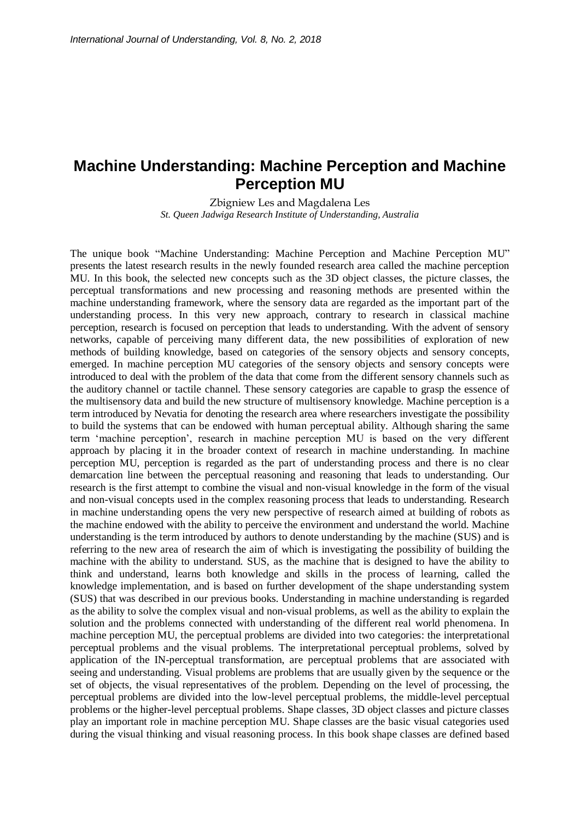## **Machine Understanding: Machine Perception and Machine Perception MU**

Zbigniew Les and Magdalena Les *St. Queen Jadwiga Research Institute of Understanding, Australia* 

The unique book "Machine Understanding: Machine Perception and Machine Perception MU" presents the latest research results in the newly founded research area called the machine perception MU. In this book, the selected new concepts such as the 3D object classes, the picture classes, the perceptual transformations and new processing and reasoning methods are presented within the machine understanding framework, where the sensory data are regarded as the important part of the understanding process. In this very new approach, contrary to research in classical machine perception, research is focused on perception that leads to understanding. With the advent of sensory networks, capable of perceiving many different data, the new possibilities of exploration of new methods of building knowledge, based on categories of the sensory objects and sensory concepts, emerged. In machine perception MU categories of the sensory objects and sensory concepts were introduced to deal with the problem of the data that come from the different sensory channels such as the auditory channel or tactile channel. These sensory categories are capable to grasp the essence of the multisensory data and build the new structure of multisensory knowledge. Machine perception is a term introduced by Nevatia for denoting the research area where researchers investigate the possibility to build the systems that can be endowed with human perceptual ability. Although sharing the same term 'machine perception', research in machine perception MU is based on the very different approach by placing it in the broader context of research in machine understanding. In machine perception MU, perception is regarded as the part of understanding process and there is no clear demarcation line between the perceptual reasoning and reasoning that leads to understanding. Our research is the first attempt to combine the visual and non-visual knowledge in the form of the visual and non-visual concepts used in the complex reasoning process that leads to understanding. Research in machine understanding opens the very new perspective of research aimed at building of robots as the machine endowed with the ability to perceive the environment and understand the world. Machine understanding is the term introduced by authors to denote understanding by the machine (SUS) and is referring to the new area of research the aim of which is investigating the possibility of building the machine with the ability to understand. SUS, as the machine that is designed to have the ability to think and understand, learns both knowledge and skills in the process of learning, called the knowledge implementation, and is based on further development of the shape understanding system (SUS) that was described in our previous books. Understanding in machine understanding is regarded as the ability to solve the complex visual and non-visual problems, as well as the ability to explain the solution and the problems connected with understanding of the different real world phenomena. In machine perception MU, the perceptual problems are divided into two categories: the interpretational perceptual problems and the visual problems. The interpretational perceptual problems, solved by application of the IN-perceptual transformation, are perceptual problems that are associated with seeing and understanding. Visual problems are problems that are usually given by the sequence or the set of objects, the visual representatives of the problem. Depending on the level of processing, the perceptual problems are divided into the low-level perceptual problems, the middle-level perceptual problems or the higher-level perceptual problems. Shape classes, 3D object classes and picture classes play an important role in machine perception MU. Shape classes are the basic visual categories used during the visual thinking and visual reasoning process. In this book shape classes are defined based